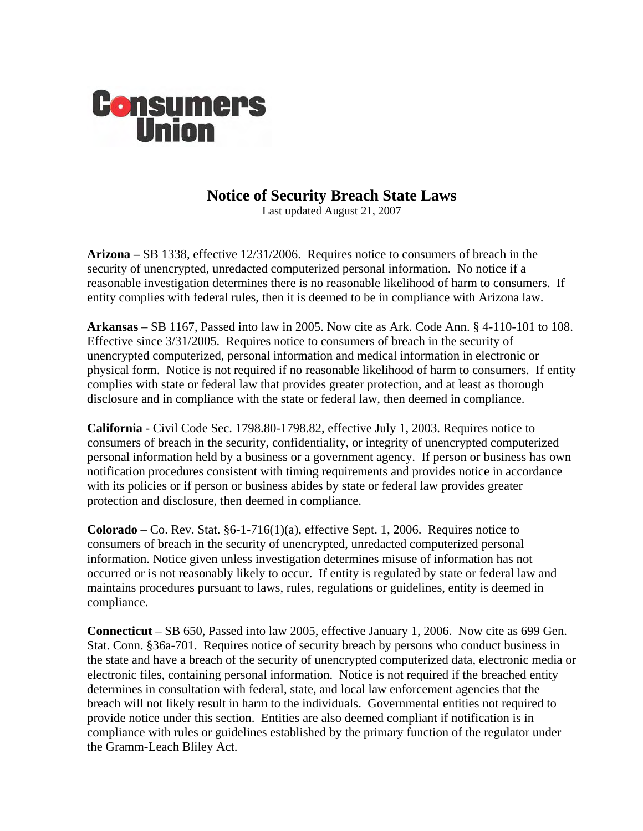

## **Notice of Security Breach State Laws**<br>Last updated August 21, 2007

**Arizona –** SB 1338, effective 12/31/2006. Requires notice to consumers of breach in the security of unencrypted, unredacted computerized personal information. No notice if a reasonable investigation determines there is no reasonable likelihood of harm to consumers. If entity complies with federal rules, then it is deemed to be in compliance with Arizona law.

**Arkansas** – SB 1167, Passed into law in 2005. Now cite as Ark. Code Ann. § 4-110-101 to 108. Effective since 3/31/2005. Requires notice to consumers of breach in the security of unencrypted computerized, personal information and medical information in electronic or physical form. Notice is not required if no reasonable likelihood of harm to consumers. If entity complies with state or federal law that provides greater protection, and at least as thorough disclosure and in compliance with the state or federal law, then deemed in compliance.

**California** - Civil Code Sec. 1798.80-1798.82, effective July 1, 2003. Requires notice to consumers of breach in the security, confidentiality, or integrity of unencrypted computerized personal information held by a business or a government agency. If person or business has own notification procedures consistent with timing requirements and provides notice in accordance with its policies or if person or business abides by state or federal law provides greater protection and disclosure, then deemed in compliance.

**Colorado** – Co. Rev. Stat.  $\S6-1-716(1)(a)$ , effective Sept. 1, 2006. Requires notice to consumers of breach in the security of unencrypted, unredacted computerized personal information. Notice given unless investigation determines misuse of information has not occurred or is not reasonably likely to occur. If entity is regulated by state or federal law and maintains procedures pursuant to laws, rules, regulations or guidelines, entity is deemed in compliance.

**Connecticut** – SB 650, Passed into law 2005, effective January 1, 2006. Now cite as 699 Gen. Stat. Conn. §36a-701. Requires notice of security breach by persons who conduct business in the state and have a breach of the security of unencrypted computerized data, electronic media or electronic files, containing personal information. Notice is not required if the breached entity determines in consultation with federal, state, and local law enforcement agencies that the breach will not likely result in harm to the individuals. Governmental entities not required to provide notice under this section. Entities are also deemed compliant if notification is in compliance with rules or guidelines established by the primary function of the regulator under the Gramm-Leach Bliley Act.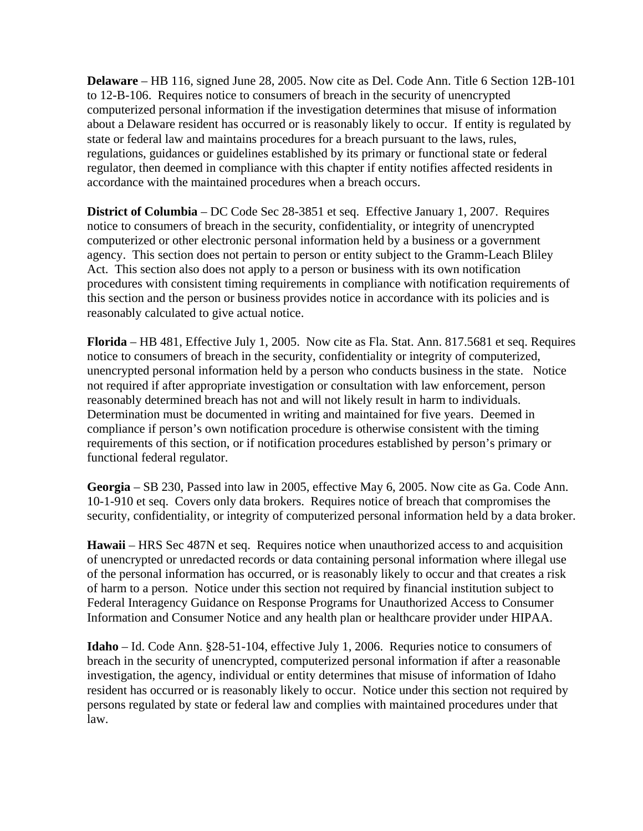**Delaware** – HB 116, signed June 28, 2005. Now cite as Del. Code Ann. Title 6 Section 12B-101 to 12-B-106. Requires notice to consumers of breach in the security of unencrypted computerized personal information if the investigation determines that misuse of information about a Delaware resident has occurred or is reasonably likely to occur. If entity is regulated by state or federal law and maintains procedures for a breach pursuant to the laws, rules, regulations, guidances or guidelines established by its primary or functional state or federal regulator, then deemed in compliance with this chapter if entity notifies affected residents in accordance with the maintained procedures when a breach occurs.

**District of Columbia** – DC Code Sec 28-3851 et seq. Effective January 1, 2007. Requires notice to consumers of breach in the security, confidentiality, or integrity of unencrypted computerized or other electronic personal information held by a business or a government agency. This section does not pertain to person or entity subject to the Gramm-Leach Bliley Act. This section also does not apply to a person or business with its own notification procedures with consistent timing requirements in compliance with notification requirements of this section and the person or business provides notice in accordance with its policies and is reasonably calculated to give actual notice.

**Florida** – HB 481, Effective July 1, 2005. Now cite as Fla. Stat. Ann. 817.5681 et seq. Requires notice to consumers of breach in the security, confidentiality or integrity of computerized, unencrypted personal information held by a person who conducts business in the state. Notice not required if after appropriate investigation or consultation with law enforcement, person reasonably determined breach has not and will not likely result in harm to individuals. Determination must be documented in writing and maintained for five years. Deemed in compliance if person's own notification procedure is otherwise consistent with the timing requirements of this section, or if notification procedures established by person's primary or functional federal regulator.

**Georgia** – SB 230, Passed into law in 2005, effective May 6, 2005. Now cite as Ga. Code Ann. 10-1-910 et seq. Covers only data brokers. Requires notice of breach that compromises the security, confidentiality, or integrity of computerized personal information held by a data broker.

**Hawaii** – HRS Sec 487N et seq. Requires notice when unauthorized access to and acquisition of unencrypted or unredacted records or data containing personal information where illegal use of the personal information has occurred, or is reasonably likely to occur and that creates a risk of harm to a person. Notice under this section not required by financial institution subject to Federal Interagency Guidance on Response Programs for Unauthorized Access to Consumer Information and Consumer Notice and any health plan or healthcare provider under HIPAA.

**Idaho** – Id. Code Ann. §28-51-104, effective July 1, 2006. Requries notice to consumers of breach in the security of unencrypted, computerized personal information if after a reasonable investigation, the agency, individual or entity determines that misuse of information of Idaho resident has occurred or is reasonably likely to occur. Notice under this section not required by persons regulated by state or federal law and complies with maintained procedures under that law.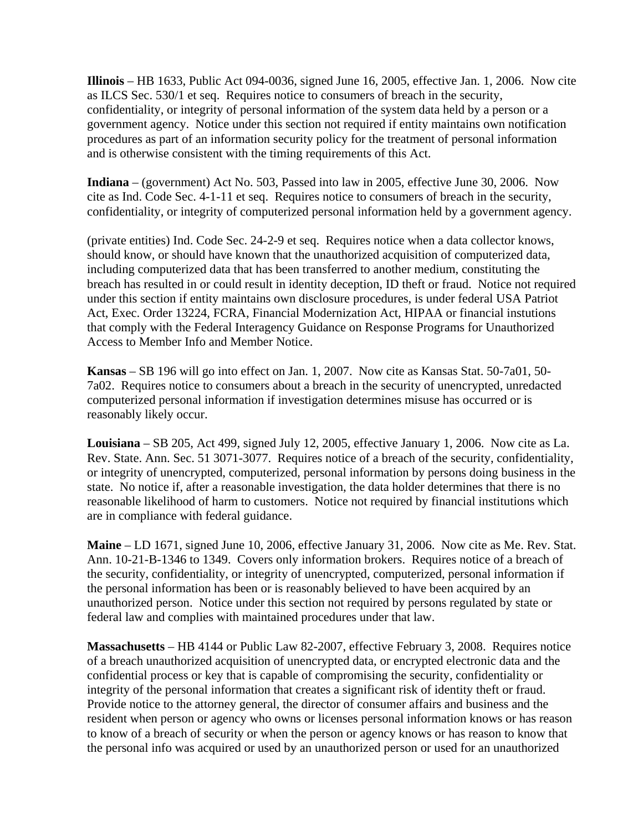**Illinois** – HB 1633, Public Act 094-0036, signed June 16, 2005, effective Jan. 1, 2006. Now cite as ILCS Sec. 530/1 et seq. Requires notice to consumers of breach in the security, confidentiality, or integrity of personal information of the system data held by a person or a government agency. Notice under this section not required if entity maintains own notification procedures as part of an information security policy for the treatment of personal information and is otherwise consistent with the timing requirements of this Act.

**Indiana** – (government) Act No. 503, Passed into law in 2005, effective June 30, 2006. Now cite as Ind. Code Sec. 4-1-11 et seq. Requires notice to consumers of breach in the security, confidentiality, or integrity of computerized personal information held by a government agency.

(private entities) Ind. Code Sec. 24-2-9 et seq. Requires notice when a data collector knows, should know, or should have known that the unauthorized acquisition of computerized data, including computerized data that has been transferred to another medium, constituting the breach has resulted in or could result in identity deception, ID theft or fraud. Notice not required under this section if entity maintains own disclosure procedures, is under federal USA Patriot Act, Exec. Order 13224, FCRA, Financial Modernization Act, HIPAA or financial instutions that comply with the Federal Interagency Guidance on Response Programs for Unauthorized Access to Member Info and Member Notice.

**Kansas** – SB 196 will go into effect on Jan. 1, 2007. Now cite as Kansas Stat. 50-7a01, 50- 7a02. Requires notice to consumers about a breach in the security of unencrypted, unredacted computerized personal information if investigation determines misuse has occurred or is reasonably likely occur.

**Louisiana** – SB 205, Act 499, signed July 12, 2005, effective January 1, 2006. Now cite as La. Rev. State. Ann. Sec. 51 3071-3077. Requires notice of a breach of the security, confidentiality, or integrity of unencrypted, computerized, personal information by persons doing business in the state. No notice if, after a reasonable investigation, the data holder determines that there is no reasonable likelihood of harm to customers. Notice not required by financial institutions which are in compliance with federal guidance.

**Maine** – LD 1671, signed June 10, 2006, effective January 31, 2006. Now cite as Me. Rev. Stat. Ann. 10-21-B-1346 to 1349. Covers only information brokers. Requires notice of a breach of the security, confidentiality, or integrity of unencrypted, computerized, personal information if the personal information has been or is reasonably believed to have been acquired by an unauthorized person. Notice under this section not required by persons regulated by state or federal law and complies with maintained procedures under that law.

**Massachusetts** – HB 4144 or Public Law 82-2007, effective February 3, 2008. Requires notice of a breach unauthorized acquisition of unencrypted data, or encrypted electronic data and the confidential process or key that is capable of compromising the security, confidentiality or integrity of the personal information that creates a significant risk of identity theft or fraud. Provide notice to the attorney general, the director of consumer affairs and business and the resident when person or agency who owns or licenses personal information knows or has reason to know of a breach of security or when the person or agency knows or has reason to know that the personal info was acquired or used by an unauthorized person or used for an unauthorized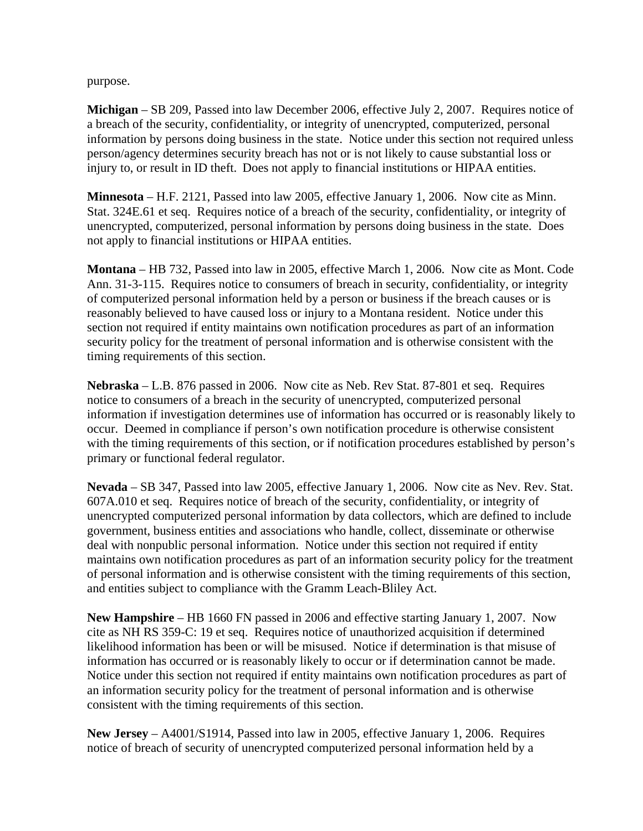purpose.

**Michigan** – SB 209, Passed into law December 2006, effective July 2, 2007. Requires notice of a breach of the security, confidentiality, or integrity of unencrypted, computerized, personal information by persons doing business in the state. Notice under this section not required unless person/agency determines security breach has not or is not likely to cause substantial loss or injury to, or result in ID theft. Does not apply to financial institutions or HIPAA entities.

**Minnesota** – H.F. 2121, Passed into law 2005, effective January 1, 2006. Now cite as Minn. Stat. 324E.61 et seq. Requires notice of a breach of the security, confidentiality, or integrity of unencrypted, computerized, personal information by persons doing business in the state. Does not apply to financial institutions or HIPAA entities.

**Montana** – HB 732, Passed into law in 2005, effective March 1, 2006. Now cite as Mont. Code Ann. 31-3-115. Requires notice to consumers of breach in security, confidentiality, or integrity of computerized personal information held by a person or business if the breach causes or is reasonably believed to have caused loss or injury to a Montana resident. Notice under this section not required if entity maintains own notification procedures as part of an information security policy for the treatment of personal information and is otherwise consistent with the timing requirements of this section.

**Nebraska** – L.B. 876 passed in 2006. Now cite as Neb. Rev Stat. 87-801 et seq. Requires notice to consumers of a breach in the security of unencrypted, computerized personal information if investigation determines use of information has occurred or is reasonably likely to occur. Deemed in compliance if person's own notification procedure is otherwise consistent with the timing requirements of this section, or if notification procedures established by person's primary or functional federal regulator.

**Nevada** – SB 347, Passed into law 2005, effective January 1, 2006. Now cite as Nev. Rev. Stat. 607A.010 et seq. Requires notice of breach of the security, confidentiality, or integrity of unencrypted computerized personal information by data collectors, which are defined to include government, business entities and associations who handle, collect, disseminate or otherwise deal with nonpublic personal information. Notice under this section not required if entity maintains own notification procedures as part of an information security policy for the treatment of personal information and is otherwise consistent with the timing requirements of this section, and entities subject to compliance with the Gramm Leach-Bliley Act.

**New Hampshire** – HB 1660 FN passed in 2006 and effective starting January 1, 2007. Now cite as NH RS 359-C: 19 et seq. Requires notice of unauthorized acquisition if determined likelihood information has been or will be misused. Notice if determination is that misuse of information has occurred or is reasonably likely to occur or if determination cannot be made. Notice under this section not required if entity maintains own notification procedures as part of an information security policy for the treatment of personal information and is otherwise consistent with the timing requirements of this section.

**New Jersey** – A4001/S1914, Passed into law in 2005, effective January 1, 2006. Requires notice of breach of security of unencrypted computerized personal information held by a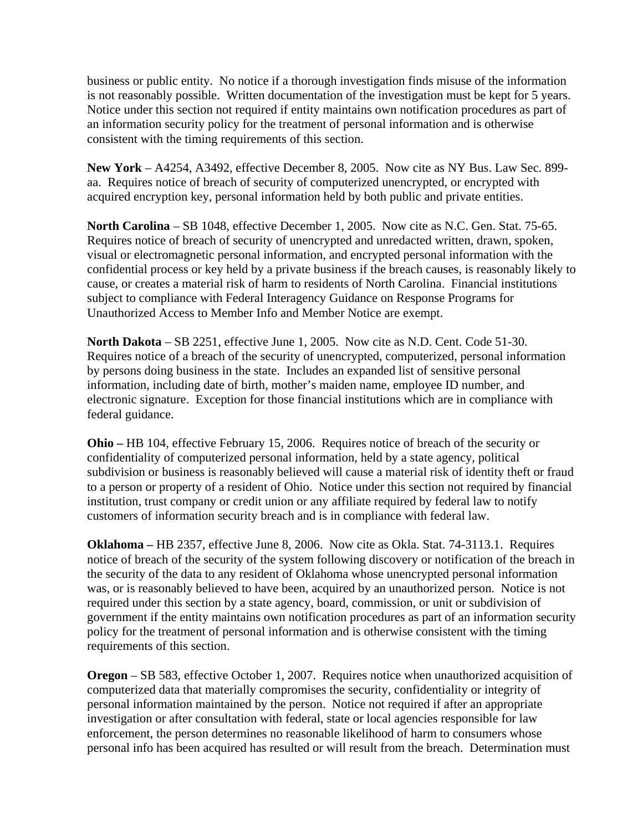business or public entity. No notice if a thorough investigation finds misuse of the information is not reasonably possible. Written documentation of the investigation must be kept for 5 years. Notice under this section not required if entity maintains own notification procedures as part of an information security policy for the treatment of personal information and is otherwise consistent with the timing requirements of this section.

**New York** – A4254, A3492, effective December 8, 2005. Now cite as NY Bus. Law Sec. 899 aa. Requires notice of breach of security of computerized unencrypted, or encrypted with acquired encryption key, personal information held by both public and private entities.

**North Carolina** – SB 1048, effective December 1, 2005. Now cite as N.C. Gen. Stat. 75-65. Requires notice of breach of security of unencrypted and unredacted written, drawn, spoken, visual or electromagnetic personal information, and encrypted personal information with the confidential process or key held by a private business if the breach causes, is reasonably likely to cause, or creates a material risk of harm to residents of North Carolina. Financial institutions subject to compliance with Federal Interagency Guidance on Response Programs for Unauthorized Access to Member Info and Member Notice are exempt.

**North Dakota** – SB 2251, effective June 1, 2005. Now cite as N.D. Cent. Code 51-30. Requires notice of a breach of the security of unencrypted, computerized, personal information by persons doing business in the state. Includes an expanded list of sensitive personal information, including date of birth, mother's maiden name, employee ID number, and electronic signature. Exception for those financial institutions which are in compliance with federal guidance.

**Ohio –** HB 104, effective February 15, 2006. Requires notice of breach of the security or confidentiality of computerized personal information, held by a state agency, political subdivision or business is reasonably believed will cause a material risk of identity theft or fraud to a person or property of a resident of Ohio. Notice under this section not required by financial institution, trust company or credit union or any affiliate required by federal law to notify customers of information security breach and is in compliance with federal law.

**Oklahoma –** HB 2357, effective June 8, 2006. Now cite as Okla. Stat. 74-3113.1. Requires notice of breach of the security of the system following discovery or notification of the breach in the security of the data to any resident of Oklahoma whose unencrypted personal information was, or is reasonably believed to have been, acquired by an unauthorized person. Notice is not required under this section by a state agency, board, commission, or unit or subdivision of government if the entity maintains own notification procedures as part of an information security policy for the treatment of personal information and is otherwise consistent with the timing requirements of this section.

**Oregon** – SB 583, effective October 1, 2007. Requires notice when unauthorized acquisition of computerized data that materially compromises the security, confidentiality or integrity of personal information maintained by the person. Notice not required if after an appropriate investigation or after consultation with federal, state or local agencies responsible for law enforcement, the person determines no reasonable likelihood of harm to consumers whose personal info has been acquired has resulted or will result from the breach. Determination must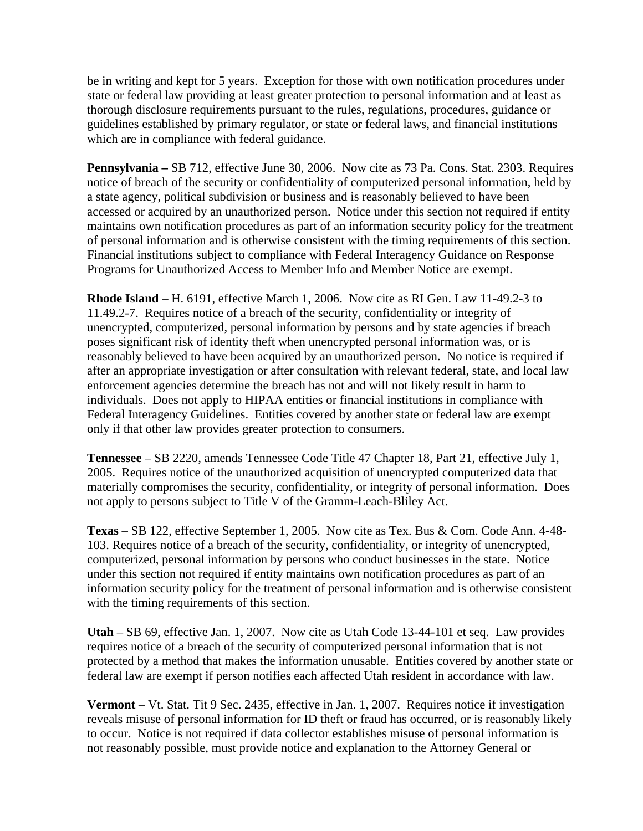be in writing and kept for 5 years. Exception for those with own notification procedures under state or federal law providing at least greater protection to personal information and at least as thorough disclosure requirements pursuant to the rules, regulations, procedures, guidance or guidelines established by primary regulator, or state or federal laws, and financial institutions which are in compliance with federal guidance.

**Pennsylvania –** SB 712, effective June 30, 2006. Now cite as 73 Pa. Cons. Stat. 2303. Requires notice of breach of the security or confidentiality of computerized personal information, held by a state agency, political subdivision or business and is reasonably believed to have been accessed or acquired by an unauthorized person. Notice under this section not required if entity maintains own notification procedures as part of an information security policy for the treatment of personal information and is otherwise consistent with the timing requirements of this section. Financial institutions subject to compliance with Federal Interagency Guidance on Response Programs for Unauthorized Access to Member Info and Member Notice are exempt.

**Rhode Island** – H. 6191, effective March 1, 2006. Now cite as RI Gen. Law 11-49.2-3 to 11.49.2-7. Requires notice of a breach of the security, confidentiality or integrity of unencrypted, computerized, personal information by persons and by state agencies if breach poses significant risk of identity theft when unencrypted personal information was, or is reasonably believed to have been acquired by an unauthorized person. No notice is required if after an appropriate investigation or after consultation with relevant federal, state, and local law enforcement agencies determine the breach has not and will not likely result in harm to individuals. Does not apply to HIPAA entities or financial institutions in compliance with Federal Interagency Guidelines. Entities covered by another state or federal law are exempt only if that other law provides greater protection to consumers.

**Tennessee** – SB 2220, amends Tennessee Code Title 47 Chapter 18, Part 21, effective July 1, 2005. Requires notice of the unauthorized acquisition of unencrypted computerized data that materially compromises the security, confidentiality, or integrity of personal information. Does not apply to persons subject to Title V of the Gramm-Leach-Bliley Act.

**Texas** – SB 122, effective September 1, 2005. Now cite as Tex. Bus & Com. Code Ann. 4-48- 103. Requires notice of a breach of the security, confidentiality, or integrity of unencrypted, computerized, personal information by persons who conduct businesses in the state. Notice under this section not required if entity maintains own notification procedures as part of an information security policy for the treatment of personal information and is otherwise consistent with the timing requirements of this section.

**Utah** – SB 69, effective Jan. 1, 2007. Now cite as Utah Code 13-44-101 et seq. Law provides requires notice of a breach of the security of computerized personal information that is not protected by a method that makes the information unusable. Entities covered by another state or federal law are exempt if person notifies each affected Utah resident in accordance with law.

**Vermont** – Vt. Stat. Tit 9 Sec. 2435, effective in Jan. 1, 2007. Requires notice if investigation reveals misuse of personal information for ID theft or fraud has occurred, or is reasonably likely to occur. Notice is not required if data collector establishes misuse of personal information is not reasonably possible, must provide notice and explanation to the Attorney General or